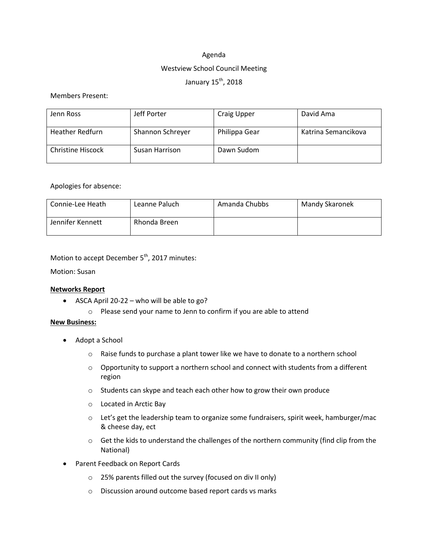## Agenda

#### Westview School Council Meeting

## January 15<sup>th</sup>, 2018

#### Members Present:

| Jenn Ross                | Jeff Porter      | Craig Upper   | David Ama           |
|--------------------------|------------------|---------------|---------------------|
| <b>Heather Redfurn</b>   | Shannon Schreyer | Philippa Gear | Katrina Semancikova |
| <b>Christine Hiscock</b> | Susan Harrison   | Dawn Sudom    |                     |

### Apologies for absence:

| Connie-Lee Heath | Leanne Paluch | Amanda Chubbs | Mandy Skaronek |
|------------------|---------------|---------------|----------------|
| Jennifer Kennett | Rhonda Breen  |               |                |

Motion to accept December 5<sup>th</sup>, 2017 minutes:

Motion: Susan

## **Networks Report**

- $\bullet$  ASCA April 20-22 who will be able to go?
	- o Please send your name to Jenn to confirm if you are able to attend

#### **New Business:**

- Adopt a School
	- $\circ$  Raise funds to purchase a plant tower like we have to donate to a northern school
	- $\circ$  Opportunity to support a northern school and connect with students from a different region
	- o Students can skype and teach each other how to grow their own produce
	- o Located in Arctic Bay
	- $\circ$  Let's get the leadership team to organize some fundraisers, spirit week, hamburger/mac & cheese day, ect
	- $\circ$  Get the kids to understand the challenges of the northern community (find clip from the National)
- Parent Feedback on Report Cards
	- o 25% parents filled out the survey (focused on div II only)
	- o Discussion around outcome based report cards vs marks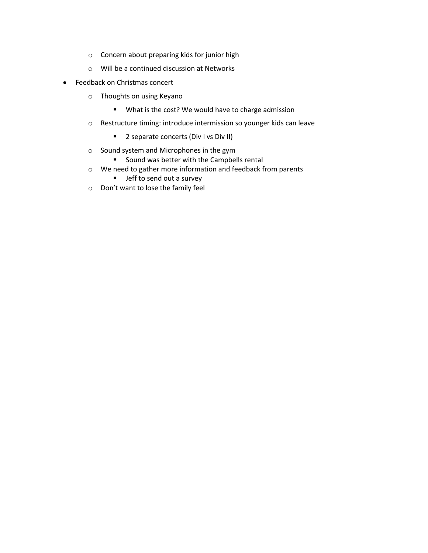- o Concern about preparing kids for junior high
- o Will be a continued discussion at Networks
- Feedback on Christmas concert
	- o Thoughts on using Keyano
		- What is the cost? We would have to charge admission
	- o Restructure timing: introduce intermission so younger kids can leave
		- **2** separate concerts (Div I vs Div II)
	- o Sound system and Microphones in the gym
		- **Sound was better with the Campbells rental**
	- o We need to gather more information and feedback from parents
		- **Jeff to send out a survey**
	- o Don't want to lose the family feel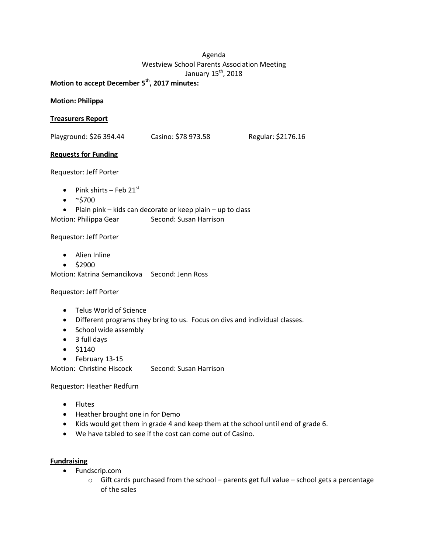# Agenda Westview School Parents Association Meeting January 15<sup>th</sup>, 2018

**Motion to accept December 5 th , 2017 minutes:**

**Motion: Philippa**

## **Treasurers Report**

Playground: \$26 394.44 Casino: \$78 973.58 Regular: \$2176.16

### **Requests for Funding**

Requestor: Jeff Porter

- Pink shirts Feb  $21^{st}$
- $\bullet \quad$  ~\$700
- $\bullet$  Plain pink kids can decorate or keep plain up to class

Motion: Philippa Gear Second: Susan Harrison

#### Requestor: Jeff Porter

- Alien Inline
- $•$  \$2900

Motion: Katrina Semancikova Second: Jenn Ross

#### Requestor: Jeff Porter

- Telus World of Science
- Different programs they bring to us. Focus on divs and individual classes.
- School wide assembly
- 3 full days
- $•$  \$1140
- February 13-15

Motion: Christine Hiscock Second: Susan Harrison

Requestor: Heather Redfurn

- Flutes
- Heather brought one in for Demo
- Kids would get them in grade 4 and keep them at the school until end of grade 6.
- We have tabled to see if the cost can come out of Casino.

#### **Fundraising**

- Fundscrip.com
	- o Gift cards purchased from the school parents get full value school gets a percentage of the sales